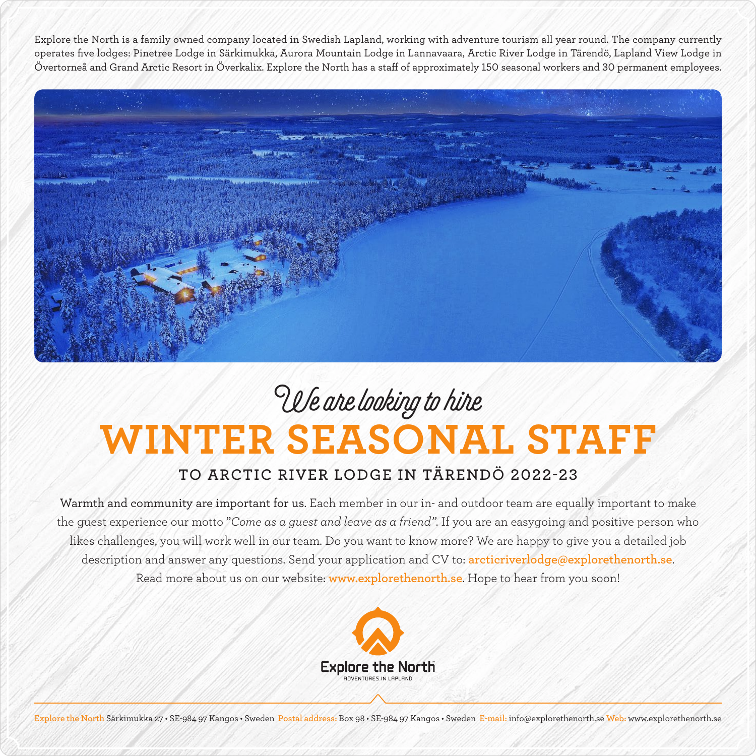Explore the North is a family owned company located in Swedish Lapland, working with adventure tourism all year round. The company currently operates five lodges: Pinetree Lodge in Särkimukka, Aurora Mountain Lodge in Lannavaara, Arctic River Lodge in Tärendö, Lapland View Lodge in Övertorneå and Grand Arctic Resort in Överkalix. Explore the North has a staff of approximately 150 seasonal workers and 30 permanent employees.



## **WINTER SEASONAL STAFF** We are looking to hire

## **TO ARCTIC RIVER LODGE IN TÄRENDÖ 2022-23**

Warmth and community are important for us. Each member in our in- and outdoor team are equally important to make the guest experience our motto "*Come as a guest and leave as a friend"*. If you are an easygoing and positive person who likes challenges, you will work well in our team. Do you want to know more? We are happy to give you a detailed job description and answer any questions. Send your application and CV to: **arcticriverlodge@explorethenorth.se**. Read more about us on our website: **www.explorethenorth.se**. Hope to hear from you soon!



**Explore the North** Särkimukka 27 • SE-984 97 Kangos • Sweden **Postal address:** Box 98 • SE-984 97 Kangos • Sweden **E-mail:** info@explorethenorth.se **Web:** www.explorethenorth.se